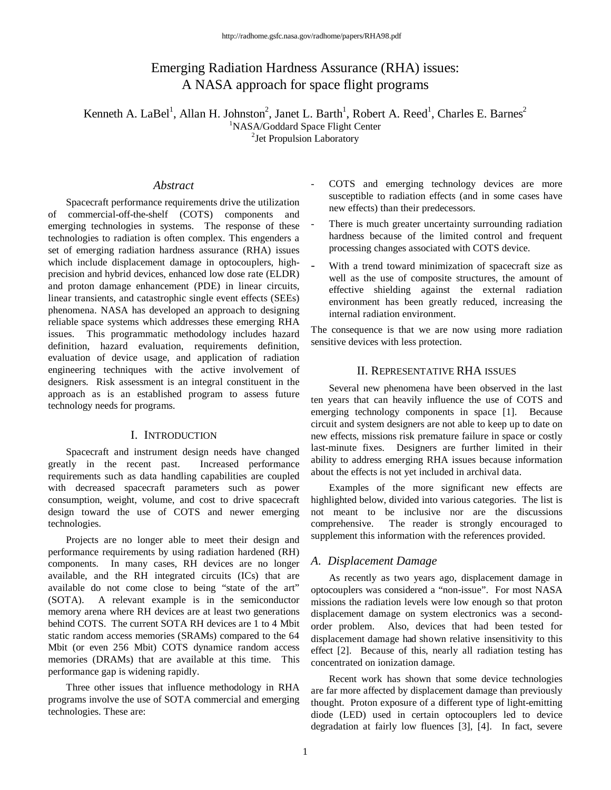# Emerging Radiation Hardness Assurance (RHA) issues: A NASA approach for space flight programs

Kenneth A. LaBel<sup>1</sup>, Allan H. Johnston<sup>2</sup>, Janet L. Barth<sup>1</sup>, Robert A. Reed<sup>1</sup>, Charles E. Barnes<sup>2</sup>

<sup>1</sup>NASA/Goddard Space Flight Center

<sup>2</sup>Jet Propulsion Laboratory

### *Abstract*

Spacecraft performance requirements drive the utilization of commercial-off-the-shelf (COTS) components and emerging technologies in systems. The response of these technologies to radiation is often complex. This engenders a set of emerging radiation hardness assurance (RHA) issues which include displacement damage in optocouplers, highprecision and hybrid devices, enhanced low dose rate (ELDR) and proton damage enhancement (PDE) in linear circuits, linear transients, and catastrophic single event effects (SEEs) phenomena. NASA has developed an approach to designing reliable space systems which addresses these emerging RHA issues. This programmatic methodology includes hazard definition, hazard evaluation, requirements definition, evaluation of device usage, and application of radiation engineering techniques with the active involvement of designers. Risk assessment is an integral constituent in the approach as is an established program to assess future technology needs for programs.

### I. INTRODUCTION

Spacecraft and instrument design needs have changed greatly in the recent past. Increased performance requirements such as data handling capabilities are coupled with decreased spacecraft parameters such as power consumption, weight, volume, and cost to drive spacecraft design toward the use of COTS and newer emerging technologies.

Projects are no longer able to meet their design and performance requirements by using radiation hardened (RH) components. In many cases, RH devices are no longer available, and the RH integrated circuits (ICs) that are available do not come close to being "state of the art" (SOTA). A relevant example is in the semiconductor memory arena where RH devices are at least two generations behind COTS. The current SOTA RH devices are 1 to 4 Mbit static random access memories (SRAMs) compared to the 64 Mbit (or even 256 Mbit) COTS dynamice random access memories (DRAMs) that are available at this time. This performance gap is widening rapidly.

Three other issues that influence methodology in RHA programs involve the use of SOTA commercial and emerging technologies. These are:

- COTS and emerging technology devices are more susceptible to radiation effects (and in some cases have new effects) than their predecessors.
- There is much greater uncertainty surrounding radiation hardness because of the limited control and frequent processing changes associated with COTS device.
- With a trend toward minimization of spacecraft size as well as the use of composite structures, the amount of effective shielding against the external radiation environment has been greatly reduced, increasing the internal radiation environment.

The consequence is that we are now using more radiation sensitive devices with less protection.

#### II. REPRESENTATIVE RHA ISSUES

Several new phenomena have been observed in the last ten years that can heavily influence the use of COTS and emerging technology components in space [1]. Because circuit and system designers are not able to keep up to date on new effects, missions risk premature failure in space or costly last-minute fixes. Designers are further limited in their ability to address emerging RHA issues because information about the effects is not yet included in archival data.

Examples of the more significant new effects are highlighted below, divided into various categories. The list is not meant to be inclusive nor are the discussions comprehensive. The reader is strongly encouraged to supplement this information with the references provided.

### *A. Displacement Damage*

As recently as two years ago, displacement damage in optocouplers was considered a "non-issue". For most NASA missions the radiation levels were low enough so that proton displacement damage on system electronics was a secondorder problem. Also, devices that had been tested for displacem ert dam age had show n relative insensitivity to this effect [2]. Because of this, nearly all radiation testing has concentrated on ionization damage.

Recent work has shown that some device technologies are far more affected by displacement damage than previously thought. Proton exposure of a different type of light-emitting diode (LED) used in certain optocouplers led to device degradation at fairly low fluences [3], [4]. In fact, severe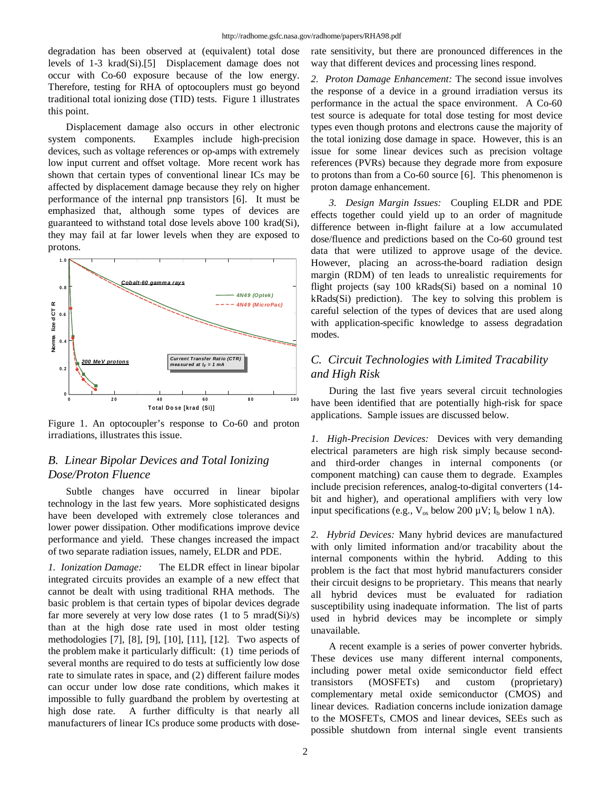degradation has been observed at (equivalent) total dose levels of 1-3 krad(Si).[5] Displacement damage does not occur with Co-60 exposure because of the low energy. Therefore, testing for RHA of optocouplers must go beyond traditional total ionizing dose (TID) tests. Figure 1 illustrates this point.

Displacement damage also occurs in other electronic system components. Examples include high-precision devices, such as voltage references or op-amps with extremely low input current and offset voltage. More recent work has shown that certain types of conventional linear ICs may be affected by displacement damage because they rely on higher performance of the internal pnp transistors [6]. It must be emphasized that, although some types of devices are guaranteed to withstand total dose levels above 100 krad(Si), they may fail at far lower levels when they are exposed to protons.



Figure 1. An optocoupler's response to Co-60 and proton irradiations, illustrates this issue.

## *B. Linear Bipolar Devices and Total Ionizing Dose/Proton Fluence*

Subtle changes have occurred in linear bipolar technology in the last few years. More sophisticated designs have been developed with extremely close tolerances and lower power dissipation. Other modifications improve device performance and yield. These changes increased the impact of two separate radiation issues, namely, ELDR and PDE.

*1. Ionization Damage:* The ELDR effect in linear bipolar integrated circuits provides an example of a new effect that cannot be dealt with using traditional RHA methods. The basic problem is that certain types of bipolar devices degrade far more severely at very low dose rates  $(1 \text{ to } 5 \text{ mrad}(Si)/s)$ than at the high dose rate used in most older testing methodologies [7], [8], [9], [10], [11], [12]. Two aspects of the problem make it particularly difficult: (1) time periods of several months are required to do tests at sufficiently low dose rate to simulate rates in space, and (2) different failure modes can occur under low dose rate conditions, which makes it impossible to fully guardband the problem by overtesting at high dose rate. A further difficulty is that nearly all manufacturers of linear ICs produce some products with doserate sensitivity, but there are pronounced differences in the way that different devices and processing lines respond.

*2. Proton Damage Enhancement:* The second issue involves the response of a device in a ground irradiation versus its performance in the actual the space environment. A Co-60 test source is adequate for total dose testing for most device types even though protons and electrons cause the majority of the total ionizing dose damage in space. However, this is an issue for some linear devices such as precision voltage references (PVRs) because they degrade more from exposure to protons than from a Co-60 source [6]. This phenomenon is proton damage enhancement.

*3. Design Margin Issues:* Coupling ELDR and PDE effects together could yield up to an order of magnitude difference between in-flight failure at a low accumulated dose/fluence and predictions based on the Co-60 ground test data that were utilized to approve usage of the device. However, placing an across-the-board radiation design margin (RDM) of ten leads to unrealistic requirements for flight projects (say 100 kRads(Si) based on a nominal 10 kRads(Si) prediction). The key to solving this problem is careful selection of the types of devices that are used along with application-specific knowledge to assess degradation modes.

# *C. Circuit Technologies with Limited Tracability and High Risk*

During the last five years several circuit technologies have been identified that are potentially high-risk for space applications. Sample issues are discussed below.

*1. High-Precision Devices:* Devices with very demanding electrical parameters are high risk simply because secondand third-order changes in internal components (or component matching) can cause them to degrade. Examples include precision references, analog-to-digital converters (14 bit and higher), and operational amplifiers with very low input specifications (e.g.,  $V_{\text{os}}$  below 200  $\mu$ V; I<sub>b</sub> below 1 nA).

*2. Hybrid Devices:* Many hybrid devices are manufactured with only limited information and/or tracability about the internal components within the hybrid. Adding to this problem is the fact that most hybrid manufacturers consider their circuit designs to be proprietary. This means that nearly all hybrid devices must be evaluated for radiation susceptibility using inadequate information. The list of parts used in hybrid devices may be incomplete or simply unavailable.

A recent example is a series of power converter hybrids. These devices use many different internal components, including power metal oxide semiconductor field effect transistors (MOSFETs) and custom (proprietary) complementary metal oxide semiconductor (CMOS) and linear devices. Radiation concerns include ionization damage to the MOSFETs, CMOS and linear devices, SEEs such as possible shutdown from internal single event transients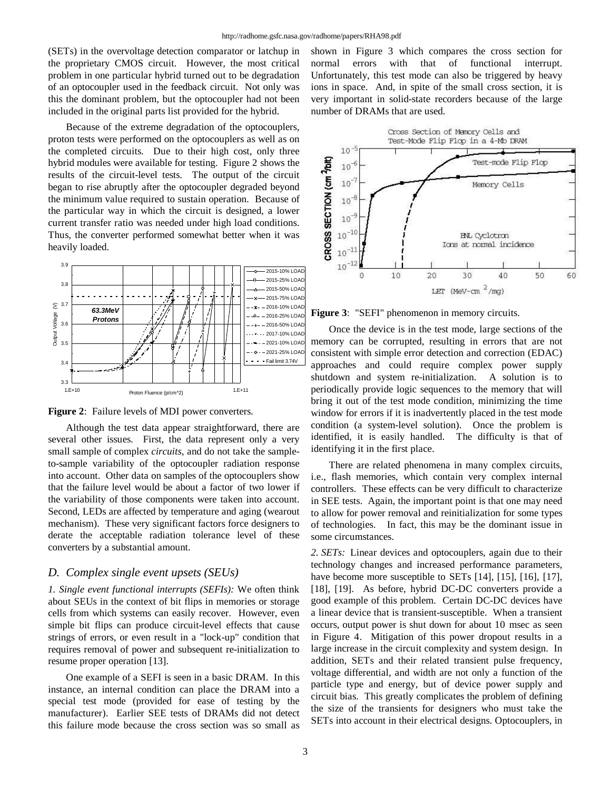(SETs) in the overvoltage detection comparator or latchup in the proprietary CMOS circuit. However, the most critical problem in one particular hybrid turned out to be degradation of an optocoupler used in the feedback circuit. Not only was this the dominant problem, but the optocoupler had not been included in the original parts list provided for the hybrid.

Because of the extreme degradation of the optocouplers, proton tests were performed on the optocouplers as well as on the completed circuits. Due to their high cost, only three hybrid modules were available for testing. Figure 2 shows the results of the circuit-level tests. The output of the circuit began to rise abruptly after the optocoupler degraded beyond the minimum value required to sustain operation. Because of the particular way in which the circuit is designed, a lower current transfer ratio was needed under high load conditions. Thus, the converter performed somewhat better when it was heavily loaded.



**Figure 2**: Failure levels of MDI power converters.

Although the test data appear straightforward, there are several other issues. First, the data represent only a very small sample of complex *circuits*, and do not take the sampleto-sample variability of the optocoupler radiation response into account. Other data on samples of the optocouplers show that the failure level would be about a factor of two lower if the variability of those components were taken into account. Second, LEDs are affected by temperature and aging (wearout mechanism). These very significant factors force designers to derate the acceptable radiation tolerance level of these converters by a substantial amount.

### *D. Complex single event upsets (SEUs)*

*1. Single event functional interrupts (SEFIs):* We often think about SEUs in the context of bit flips in memories or storage cells from which systems can easily recover. However, even simple bit flips can produce circuit-level effects that cause strings of errors, or even result in a "lock-up" condition that requires removal of power and subsequent re-initialization to resume proper operation [13].

One example of a SEFI is seen in a basic DRAM. In this instance, an internal condition can place the DRAM into a special test mode (provided for ease of testing by the manufacturer). Earlier SEE tests of DRAMs did not detect this failure mode because the cross section was so small as

shown in Figure 3 which compares the cross section for normal errors with that of functional interrupt. Unfortunately, this test mode can also be triggered by heavy ions in space. And, in spite of the small cross section, it is very important in solid-state recorders because of the large number of DRAMs that are used.



**Figure 3**: "SEFI" phenomenon in memory circuits.

Once the device is in the test mode, large sections of the memory can be corrupted, resulting in errors that are not consistent with simple error detection and correction (EDAC) approaches and could require complex power supply shutdown and system re-initialization. A solution is to periodically provide logic sequences to the memory that will bring it out of the test mode condition, minimizing the time window for errors if it is inadvertently placed in the test mode condition (a system-level solution). Once the problem is identified, it is easily handled. The difficulty is that of identifying it in the first place.

There are related phenomena in many complex circuits, i.e., flash memories, which contain very complex internal controllers. These effects can be very difficult to characterize in SEE tests. Again, the important point is that one may need to allow for power removal and reinitialization for some types of technologies. In fact, this may be the dominant issue in some circumstances.

*2. SETs:* Linear devices and optocouplers, again due to their technology changes and increased performance parameters, have become more susceptible to SETs [14], [15], [16], [17], [18], [19]. As before, hybrid DC-DC converters provide a good example of this problem. Certain DC-DC devices have a linear device that is transient-susceptible. When a transient occurs, output power is shut down for about 10 msec as seen in Figure 4. Mitigation of this power dropout results in a large increase in the circuit complexity and system design. In addition, SETs and their related transient pulse frequency, voltage differential, and width are not only a function of the particle type and energy, but of device power supply and circuit bias. This greatly complicates the problem of defining the size of the transients for designers who must take the SETs into account in their electrical designs. Optocouplers, in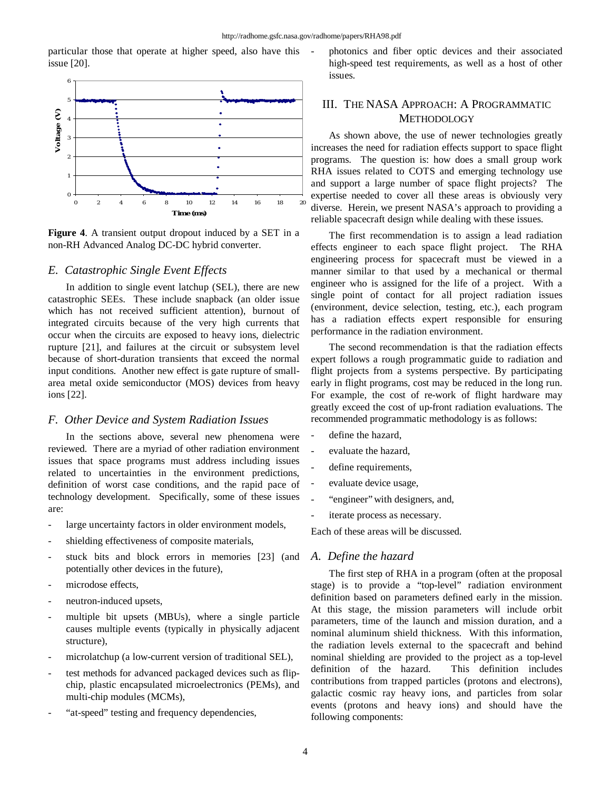particular those that operate at higher speed, also have this issue [20].



**Figure 4**. A transient output dropout induced by a SET in a non-RH Advanced Analog DC-DC hybrid converter.

#### *E. Catastrophic Single Event Effects*

In addition to single event latchup (SEL), there are new catastrophic SEEs. These include snapback (an older issue which has not received sufficient attention), burnout of integrated circuits because of the very high currents that occur when the circuits are exposed to heavy ions, dielectric rupture [21], and failures at the circuit or subsystem level because of short-duration transients that exceed the normal input conditions. Another new effect is gate rupture of smallarea metal oxide semiconductor (MOS) devices from heavy ions [22].

#### *F. Other Device and System Radiation Issues*

In the sections above, several new phenomena were reviewed. There are a myriad of other radiation environment issues that space programs must address including issues related to uncertainties in the environment predictions, definition of worst case conditions, and the rapid pace of technology development. Specifically, some of these issues are:

- large uncertainty factors in older environment models,
- shielding effectiveness of composite materials,
- stuck bits and block errors in memories [23] (and potentially other devices in the future),
- microdose effects.
- neutron-induced upsets,
- multiple bit upsets (MBUs), where a single particle causes multiple events (typically in physically adjacent structure),
- microlatchup (a low-current version of traditional SEL),
- test methods for advanced packaged devices such as flipchip, plastic encapsulated microelectronics (PEMs), and multi-chip modules (MCMs),
- "at-speed" testing and frequency dependencies,

- photonics and fiber optic devices and their associated high-speed test requirements, as well as a host of other issues.

## III. THE NASA APPROACH: A PROGRAMMATIC **METHODOLOGY**

As shown above, the use of newer technologies greatly increases the need for radiation effects support to space flight programs. The question is: how does a small group work RHA issues related to COTS and emerging technology use and support a large number of space flight projects? The expertise needed to cover all these areas is obviously very diverse. Herein, we present NASA's approach to providing a reliable spacecraft design while dealing with these issues.

The first recommendation is to assign a lead radiation effects engineer to each space flight project. The RHA engineering process for spacecraft must be viewed in a manner similar to that used by a mechanical or thermal engineer who is assigned for the life of a project. With a single point of contact for all project radiation issues (environment, device selection, testing, etc.), each program has a radiation effects expert responsible for ensuring performance in the radiation environment.

The second recommendation is that the radiation effects expert follows a rough programmatic guide to radiation and flight projects from a systems perspective. By participating early in flight programs, cost may be reduced in the long run. For example, the cost of re-work of flight hardware may greatly exceed the cost of up-front radiation evaluations. The recommended programmatic methodology is as follows:

- define the hazard.
- evaluate the hazard.
- define requirements,
- evaluate device usage,
- "engineer" with designers, and,
- iterate process as necessary.

Each of these areas will be discussed.

#### *A. Define the hazard*

The first step of RHA in a program (often at the proposal stage) is to provide a "top-level" radiation environment definition based on parameters defined early in the mission. At this stage, the mission parameters will include orbit parameters, time of the launch and mission duration, and a nominal aluminum shield thickness. With this information, the radiation levels external to the spacecraft and behind nominal shielding are provided to the project as a top-level definition of the hazard. This definition includes contributions from trapped particles (protons and electrons), galactic cosmic ray heavy ions, and particles from solar events (protons and heavy ions) and should have the following components: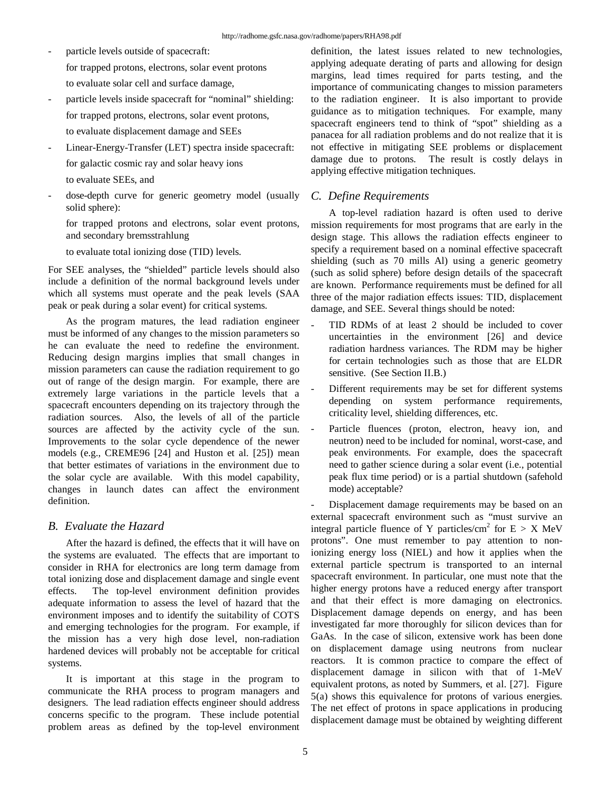- particle levels outside of spacecraft: for trapped protons, electrons, solar event protons to evaluate solar cell and surface damage,
- particle levels inside spacecraft for "nominal" shielding: for trapped protons, electrons, solar event protons, to evaluate displacement damage and SEEs
- Linear-Energy-Transfer (LET) spectra inside spacecraft: for galactic cosmic ray and solar heavy ions to evaluate SEEs, and
- dose-depth curve for generic geometry model (usually solid sphere):

for trapped protons and electrons, solar event protons, and secondary bremsstrahlung

to evaluate total ionizing dose (TID) levels.

For SEE analyses, the "shielded" particle levels should also include a definition of the normal background levels under which all systems must operate and the peak levels (SAA peak or peak during a solar event) for critical systems.

As the program matures, the lead radiation engineer must be informed of any changes to the mission parameters so he can evaluate the need to redefine the environment. Reducing design margins implies that small changes in mission parameters can cause the radiation requirement to go out of range of the design margin. For example, there are extremely large variations in the particle levels that a spacecraft encounters depending on its trajectory through the radiation sources. Also, the levels of all of the particle sources are affected by the activity cycle of the sun. Improvements to the solar cycle dependence of the newer models (e.g., CREME96 [24] and Huston et al. [25]) mean that better estimates of variations in the environment due to the solar cycle are available. With this model capability, changes in launch dates can affect the environment definition.

### *B. Evaluate the Hazard*

After the hazard is defined, the effects that it will have on the systems are evaluated. The effects that are important to consider in RHA for electronics are long term damage from total ionizing dose and displacement damage and single event effects. The top-level environment definition provides adequate information to assess the level of hazard that the environment imposes and to identify the suitability of COTS and emerging technologies for the program. For example, if the mission has a very high dose level, non-radiation hardened devices will probably not be acceptable for critical systems.

It is important at this stage in the program to communicate the RHA process to program managers and designers. The lead radiation effects engineer should address concerns specific to the program. These include potential problem areas as defined by the top-level environment

definition, the latest issues related to new technologies, applying adequate derating of parts and allowing for design margins, lead times required for parts testing, and the importance of communicating changes to mission parameters to the radiation engineer. It is also important to provide guidance as to mitigation techniques. For example, many spacecraft engineers tend to think of "spot" shielding as a panacea for all radiation problems and do not realize that it is not effective in mitigating SEE problems or displacement damage due to protons. The result is costly delays in applying effective mitigation techniques.

#### *C. Define Requirements*

A top-level radiation hazard is often used to derive mission requirements for most programs that are early in the design stage. This allows the radiation effects engineer to specify a requirement based on a nominal effective spacecraft shielding (such as 70 mills Al) using a generic geometry (such as solid sphere) before design details of the spacecraft are known. Performance requirements must be defined for all three of the major radiation effects issues: TID, displacement damage, and SEE. Several things should be noted:

- TID RDMs of at least 2 should be included to cover uncertainties in the environment [26] and device radiation hardness variances. The RDM may be higher for certain technologies such as those that are ELDR sensitive. (See Section II.B.)
- Different requirements may be set for different systems depending on system performance requirements, criticality level, shielding differences, etc.
- Particle fluences (proton, electron, heavy ion, and neutron) need to be included for nominal, worst-case, and peak environments. For example, does the spacecraft need to gather science during a solar event (i.e., potential peak flux time period) or is a partial shutdown (safehold mode) acceptable?

Displacement damage requirements may be based on an external spacecraft environment such as "must survive an integral particle fluence of Y particles/cm<sup>2</sup> for  $E > X$  MeV protons". One must remember to pay attention to nonionizing energy loss (NIEL) and how it applies when the external particle spectrum is transported to an internal spacecraft environment. In particular, one must note that the higher energy protons have a reduced energy after transport and that their effect is more damaging on electronics. Displacement damage depends on energy, and has been investigated far more thoroughly for silicon devices than for GaAs. In the case of silicon, extensive work has been done on displacement damage using neutrons from nuclear reactors. It is common practice to compare the effect of displacement damage in silicon with that of 1-MeV equivalent protons, as noted by Summers, et al. [27]. Figure 5(a) shows this equivalence for protons of various energies. The net effect of protons in space applications in producing displacement damage must be obtained by weighting different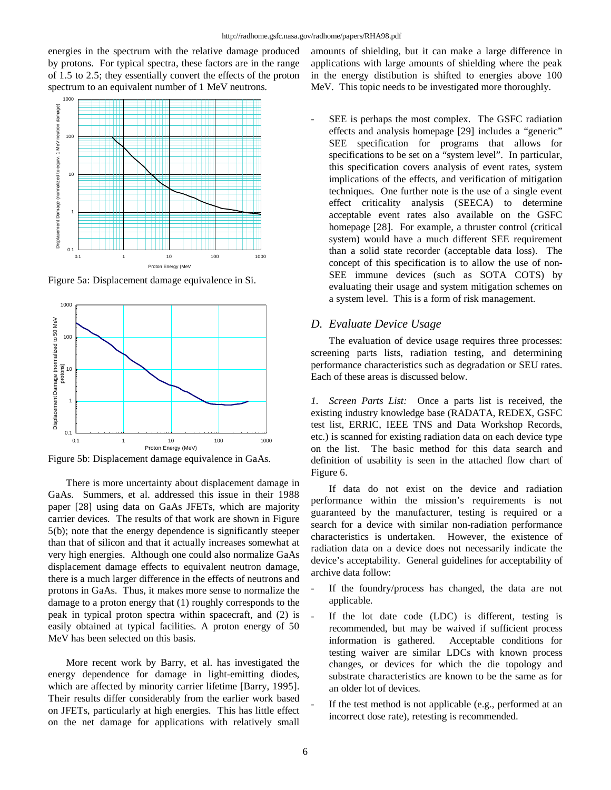energies in the spectrum with the relative damage produced by protons. For typical spectra, these factors are in the range of 1.5 to 2.5; they essentially convert the effects of the proton spectrum to an equivalent number of 1 MeV neutrons.



Figure 5a: Displacement damage equivalence in Si.





There is more uncertainty about displacement damage in GaAs. Summers, et al. addressed this issue in their 1988 paper [28] using data on GaAs JFETs, which are majority carrier devices. The results of that work are shown in Figure 5(b); note that the energy dependence is significantly steeper than that of silicon and that it actually increases somewhat at very high energies. Although one could also normalize GaAs displacement damage effects to equivalent neutron damage, there is a much larger difference in the effects of neutrons and protons in GaAs. Thus, it makes more sense to normalize the damage to a proton energy that (1) roughly corresponds to the peak in typical proton spectra within spacecraft, and (2) is easily obtained at typical facilities. A proton energy of 50 MeV has been selected on this basis.

More recent work by Barry, et al. has investigated the energy dependence for damage in light-emitting diodes, which are affected by minority carrier lifetime [Barry, 1995]. Their results differ considerably from the earlier work based on JFETs, particularly at high energies. This has little effect on the net damage for applications with relatively small

amounts of shielding, but it can make a large difference in applications with large amounts of shielding where the peak in the energy distibution is shifted to energies above 100 MeV. This topic needs to be investigated more thoroughly.

SEE is perhaps the most complex. The GSFC radiation effects and analysis homepage [29] includes a "generic" SEE specification for programs that allows for specifications to be set on a "system level". In particular, this specification covers analysis of event rates, system implications of the effects, and verification of mitigation techniques. One further note is the use of a single event effect criticality analysis (SEECA) to determine acceptable event rates also available on the GSFC homepage [28]. For example, a thruster control (critical system) would have a much different SEE requirement than a solid state recorder (acceptable data loss). The concept of this specification is to allow the use of non-SEE immune devices (such as SOTA COTS) by evaluating their usage and system mitigation schemes on a system level. This is a form of risk management.

#### *D. Evaluate Device Usage*

The evaluation of device usage requires three processes: screening parts lists, radiation testing, and determining performance characteristics such as degradation or SEU rates. Each of these areas is discussed below.

*1. Screen Parts List:* Once a parts list is received, the existing industry knowledge base (RADATA, REDEX, GSFC test list, ERRIC, IEEE TNS and Data Workshop Records, etc.) is scanned for existing radiation data on each device type on the list. The basic method for this data search and definition of usability is seen in the attached flow chart of Figure 6.

If data do not exist on the device and radiation performance within the mission's requirements is not guaranteed by the manufacturer, testing is required or a search for a device with similar non-radiation performance characteristics is undertaken. However, the existence of radiation data on a device does not necessarily indicate the device's acceptability. General guidelines for acceptability of archive data follow:

- If the foundry/process has changed, the data are not applicable.
- If the lot date code (LDC) is different, testing is recommended, but may be waived if sufficient process information is gathered. Acceptable conditions for testing waiver are similar LDCs with known process changes, or devices for which the die topology and substrate characteristics are known to be the same as for an older lot of devices.
- If the test method is not applicable (e.g., performed at an incorrect dose rate), retesting is recommended.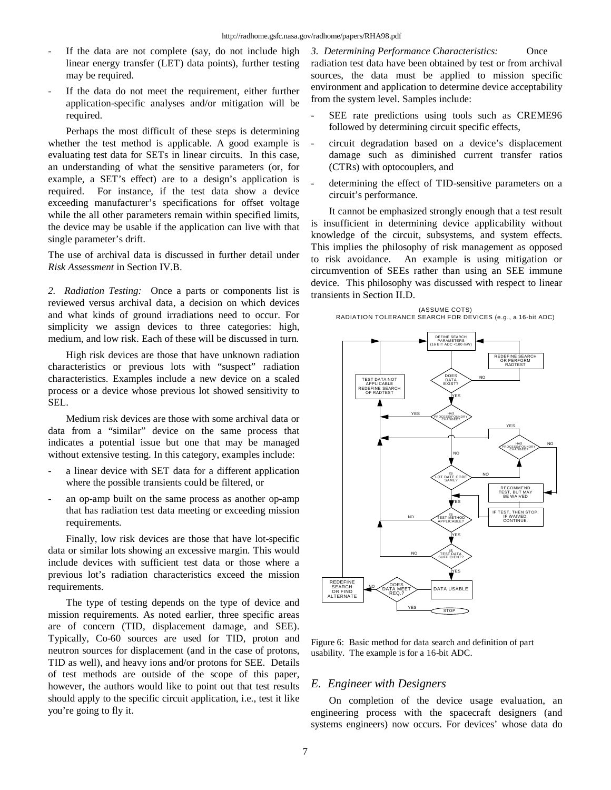- If the data are not complete (say, do not include high linear energy transfer (LET) data points), further testing may be required.
- If the data do not meet the requirement, either further application-specific analyses and/or mitigation will be required.

Perhaps the most difficult of these steps is determining whether the test method is applicable. A good example is evaluating test data for SETs in linear circuits. In this case, an understanding of what the sensitive parameters (or, for example, a SET's effect) are to a design's application is required. For instance, if the test data show a device exceeding manufacturer's specifications for offset voltage while the all other parameters remain within specified limits, the device may be usable if the application can live with that single parameter's drift.

The use of archival data is discussed in further detail under *Risk Assessment* in Section IV.B.

*2. Radiation Testing:* Once a parts or components list is reviewed versus archival data, a decision on which devices and what kinds of ground irradiations need to occur. For simplicity we assign devices to three categories: high, medium, and low risk. Each of these will be discussed in turn*.*

High risk devices are those that have unknown radiation characteristics or previous lots with "suspect" radiation characteristics. Examples include a new device on a scaled process or a device whose previous lot showed sensitivity to SEL.

Medium risk devices are those with some archival data or data from a "similar" device on the same process that indicates a potential issue but one that may be managed without extensive testing. In this category, examples include:

- a linear device with SET data for a different application where the possible transients could be filtered, or
- an op-amp built on the same process as another op-amp that has radiation test data meeting or exceeding mission requirements.

Finally, low risk devices are those that have lot-specific data or similar lots showing an excessive margin. This would include devices with sufficient test data or those where a previous lot's radiation characteristics exceed the mission requirements.

The type of testing depends on the type of device and mission requirements. As noted earlier, three specific areas are of concern (TID, displacement damage, and SEE). Typically, Co-60 sources are used for TID, proton and neutron sources for displacement (and in the case of protons, TID as well), and heavy ions and/or protons for SEE. Details of test methods are outside of the scope of this paper, however, the authors would like to point out that test results should apply to the specific circuit application, i.e., test it like you're going to fly it.

*3. Determining Performance Characteristics:* Once radiation test data have been obtained by test or from archival sources, the data must be applied to mission specific environment and application to determine device acceptability from the system level. Samples include:

- SEE rate predictions using tools such as CREME96 followed by determining circuit specific effects,
- circuit degradation based on a device's displacement damage such as diminished current transfer ratios (CTRs) with optocouplers, and
- determining the effect of TID-sensitive parameters on a circuit's performance.

It cannot be emphasized strongly enough that a test result is insufficient in determining device applicability without knowledge of the circuit, subsystems, and system effects. This implies the philosophy of risk management as opposed to risk avoidance. An example is using mitigation or circumvention of SEEs rather than using an SEE immune device. This philosophy was discussed with respect to linear transients in Section II.D.

(ASSUME COTS) RADIATION TOLERANCE SEARCH FOR DEVICES (e.g., a 16-bit ADC)



Figure 6: Basic method for data search and definition of part usability. The example is for a 16-bit ADC.

#### *E. Engineer with Designers*

On completion of the device usage evaluation, an engineering process with the spacecraft designers (and systems engineers) now occurs. For devices' whose data do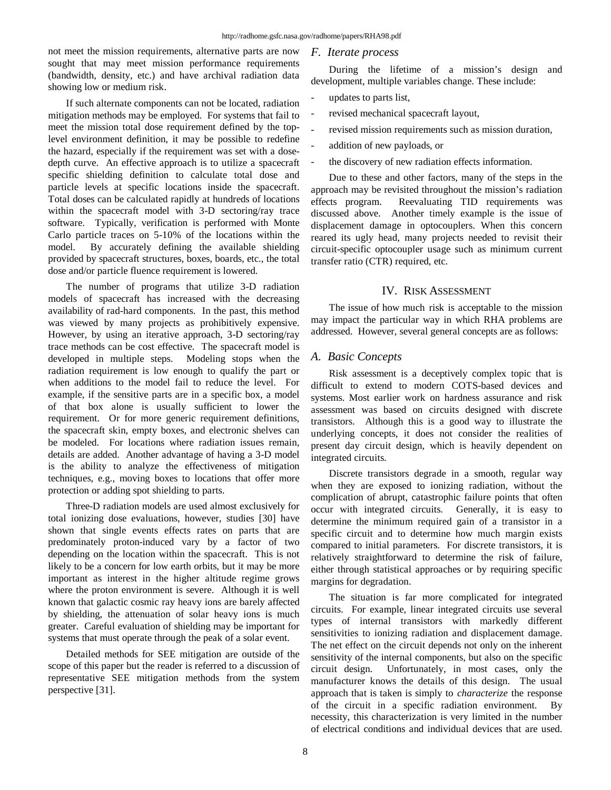not meet the mission requirements, alternative parts are now sought that may meet mission performance requirements (bandwidth, density, etc.) and have archival radiation data showing low or medium risk.

If such alternate components can not be located, radiation mitigation methods may be employed. For systems that fail to meet the mission total dose requirement defined by the toplevel environment definition, it may be possible to redefine the hazard, especially if the requirement was set with a dosedepth curve. An effective approach is to utilize a spacecraft specific shielding definition to calculate total dose and particle levels at specific locations inside the spacecraft. Total doses can be calculated rapidly at hundreds of locations within the spacecraft model with 3-D sectoring/ray trace software. Typically, verification is performed with Monte Carlo particle traces on 5-10% of the locations within the model. By accurately defining the available shielding provided by spacecraft structures, boxes, boards, etc., the total dose and/or particle fluence requirement is lowered.

The number of programs that utilize 3-D radiation models of spacecraft has increased with the decreasing availability of rad-hard components. In the past, this method was viewed by many projects as prohibitively expensive. However, by using an iterative approach, 3-D sectoring/ray trace methods can be cost effective. The spacecraft model is developed in multiple steps. Modeling stops when the radiation requirement is low enough to qualify the part or when additions to the model fail to reduce the level. For example, if the sensitive parts are in a specific box, a model of that box alone is usually sufficient to lower the requirement. Or for more generic requirement definitions, the spacecraft skin, empty boxes, and electronic shelves can be modeled. For locations where radiation issues remain, details are added. Another advantage of having a 3-D model is the ability to analyze the effectiveness of mitigation techniques, e.g., moving boxes to locations that offer more protection or adding spot shielding to parts.

Three-D radiation models are used almost exclusively for total ionizing dose evaluations, however, studies [30] have shown that single events effects rates on parts that are predominately proton-induced vary by a factor of two depending on the location within the spacecraft. This is not likely to be a concern for low earth orbits, but it may be more important as interest in the higher altitude regime grows where the proton environment is severe. Although it is well known that galactic cosmic ray heavy ions are barely affected by shielding, the attenuation of solar heavy ions is much greater. Careful evaluation of shielding may be important for systems that must operate through the peak of a solar event.

Detailed methods for SEE mitigation are outside of the scope of this paper but the reader is referred to a discussion of representative SEE mitigation methods from the system perspective [31].

#### *F. Iterate process*

During the lifetime of a mission's design and development, multiple variables change. These include:

- updates to parts list,
- revised mechanical spacecraft layout,
- revised mission requirements such as mission duration,
- addition of new payloads, or
- the discovery of new radiation effects information.

Due to these and other factors, many of the steps in the approach may be revisited throughout the mission's radiation effects program. Reevaluating TID requirements was discussed above. Another timely example is the issue of displacement damage in optocouplers. When this concern reared its ugly head, many projects needed to revisit their circuit-specific optocoupler usage such as minimum current transfer ratio (CTR) required, etc.

### IV. RISK ASSESSMENT

The issue of how much risk is acceptable to the mission may impact the particular way in which RHA problems are addressed. However, several general concepts are as follows:

#### *A. Basic Concepts*

Risk assessment is a deceptively complex topic that is difficult to extend to modern COTS-based devices and systems. Most earlier work on hardness assurance and risk assessment was based on circuits designed with discrete transistors. Although this is a good way to illustrate the underlying concepts, it does not consider the realities of present day circuit design, which is heavily dependent on integrated circuits.

Discrete transistors degrade in a smooth, regular way when they are exposed to ionizing radiation, without the complication of abrupt, catastrophic failure points that often occur with integrated circuits. Generally, it is easy to determine the minimum required gain of a transistor in a specific circuit and to determine how much margin exists compared to initial parameters. For discrete transistors, it is relatively straightforward to determine the risk of failure, either through statistical approaches or by requiring specific margins for degradation.

The situation is far more complicated for integrated circuits. For example, linear integrated circuits use several types of internal transistors with markedly different sensitivities to ionizing radiation and displacement damage. The net effect on the circuit depends not only on the inherent sensitivity of the internal components, but also on the specific circuit design. Unfortunately, in most cases, only the manufacturer knows the details of this design. The usual approach that is taken is simply to *characterize* the response of the circuit in a specific radiation environment. By necessity, this characterization is very limited in the number of electrical conditions and individual devices that are used.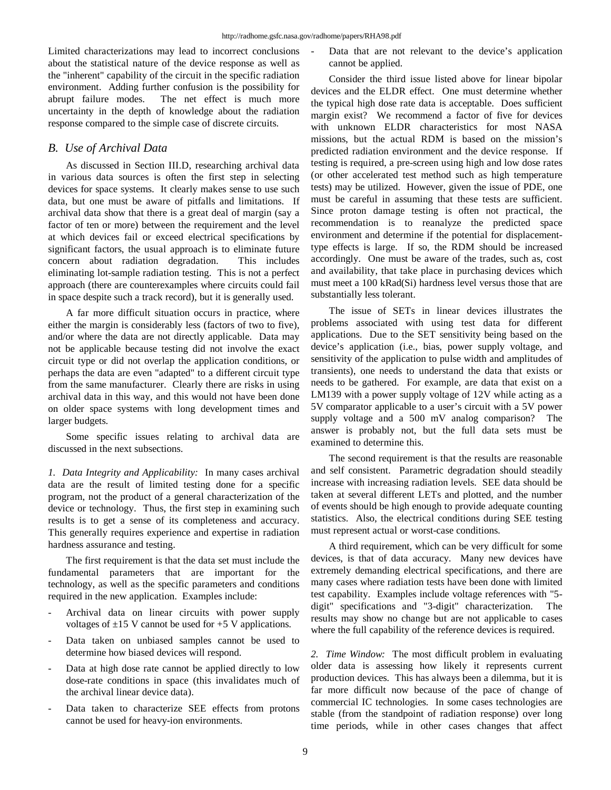Limited characterizations may lead to incorrect conclusions about the statistical nature of the device response as well as the "inherent" capability of the circuit in the specific radiation environment. Adding further confusion is the possibility for abrupt failure modes. The net effect is much more uncertainty in the depth of knowledge about the radiation response compared to the simple case of discrete circuits.

#### *B. Use of Archival Data*

As discussed in Section III.D, researching archival data in various data sources is often the first step in selecting devices for space systems. It clearly makes sense to use such data, but one must be aware of pitfalls and limitations. If archival data show that there is a great deal of margin (say a factor of ten or more) between the requirement and the level at which devices fail or exceed electrical specifications by significant factors, the usual approach is to eliminate future concern about radiation degradation. This includes eliminating lot-sample radiation testing. This is not a perfect approach (there are counterexamples where circuits could fail in space despite such a track record), but it is generally used.

A far more difficult situation occurs in practice, where either the margin is considerably less (factors of two to five), and/or where the data are not directly applicable. Data may not be applicable because testing did not involve the exact circuit type or did not overlap the application conditions, or perhaps the data are even "adapted" to a different circuit type from the same manufacturer. Clearly there are risks in using archival data in this way, and this would not have been done on older space systems with long development times and larger budgets.

Some specific issues relating to archival data are discussed in the next subsections.

*1. Data Integrity and Applicability:* In many cases archival data are the result of limited testing done for a specific program, not the product of a general characterization of the device or technology. Thus, the first step in examining such results is to get a sense of its completeness and accuracy. This generally requires experience and expertise in radiation hardness assurance and testing.

The first requirement is that the data set must include the fundamental parameters that are important for the technology, as well as the specific parameters and conditions required in the new application. Examples include:

- Archival data on linear circuits with power supply voltages of  $\pm 15$  V cannot be used for  $+5$  V applications.
- Data taken on unbiased samples cannot be used to determine how biased devices will respond.
- Data at high dose rate cannot be applied directly to low dose-rate conditions in space (this invalidates much of the archival linear device data).
- Data taken to characterize SEE effects from protons cannot be used for heavy-ion environments.

Data that are not relevant to the device's application cannot be applied.

Consider the third issue listed above for linear bipolar devices and the ELDR effect. One must determine whether the typical high dose rate data is acceptable. Does sufficient margin exist? We recommend a factor of five for devices with unknown ELDR characteristics for most NASA missions, but the actual RDM is based on the mission's predicted radiation environment and the device response. If testing is required, a pre-screen using high and low dose rates (or other accelerated test method such as high temperature tests) may be utilized. However, given the issue of PDE, one must be careful in assuming that these tests are sufficient. Since proton damage testing is often not practical, the recommendation is to reanalyze the predicted space environment and determine if the potential for displacementtype effects is large. If so, the RDM should be increased accordingly. One must be aware of the trades, such as, cost and availability, that take place in purchasing devices which must meet a 100 kRad(Si) hardness level versus those that are substantially less tolerant.

The issue of SETs in linear devices illustrates the problems associated with using test data for different applications. Due to the SET sensitivity being based on the device's application (i.e., bias, power supply voltage, and sensitivity of the application to pulse width and amplitudes of transients), one needs to understand the data that exists or needs to be gathered. For example, are data that exist on a LM139 with a power supply voltage of 12V while acting as a 5V comparator applicable to a user's circuit with a 5V power supply voltage and a 500 mV analog comparison? The answer is probably not, but the full data sets must be examined to determine this.

The second requirement is that the results are reasonable and self consistent. Parametric degradation should steadily increase with increasing radiation levels. SEE data should be taken at several different LETs and plotted, and the number of events should be high enough to provide adequate counting statistics. Also, the electrical conditions during SEE testing must represent actual or worst-case conditions.

A third requirement, which can be very difficult for some devices, is that of data accuracy. Many new devices have extremely demanding electrical specifications, and there are many cases where radiation tests have been done with limited test capability. Examples include voltage references with "5 digit" specifications and "3-digit" characterization. The results may show no change but are not applicable to cases where the full capability of the reference devices is required.

*2. Time Window:* The most difficult problem in evaluating older data is assessing how likely it represents current production devices. This has always been a dilemma, but it is far more difficult now because of the pace of change of commercial IC technologies. In some cases technologies are stable (from the standpoint of radiation response) over long time periods, while in other cases changes that affect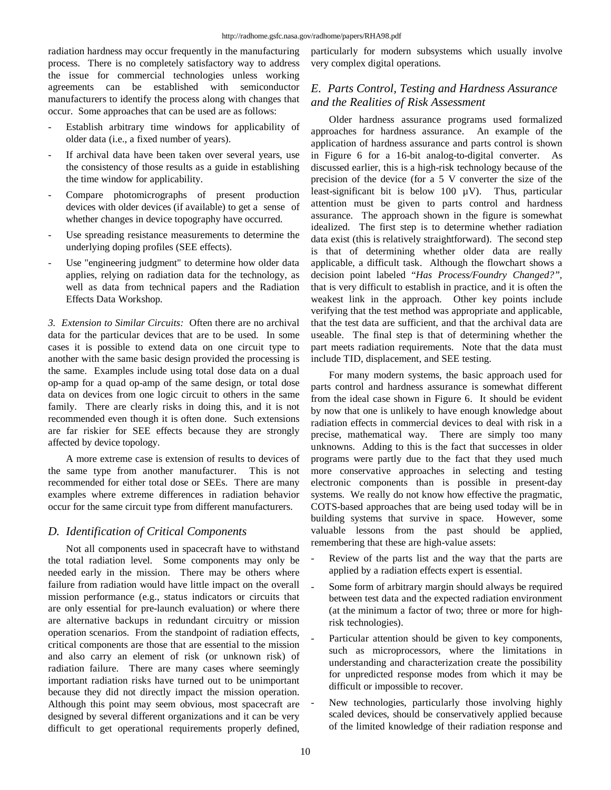radiation hardness may occur frequently in the manufacturing process. There is no completely satisfactory way to address the issue for commercial technologies unless working agreements can be established with semiconductor manufacturers to identify the process along with changes that occur. Some approaches that can be used are as follows:

- Establish arbitrary time windows for applicability of older data (i.e., a fixed number of years).
- If archival data have been taken over several years, use the consistency of those results as a guide in establishing the time window for applicability.
- Compare photomicrographs of present production devices with older devices (if available) to get a sense of whether changes in device topography have occurred.
- Use spreading resistance measurements to determine the underlying doping profiles (SEE effects).
- Use "engineering judgment" to determine how older data applies, relying on radiation data for the technology, as well as data from technical papers and the Radiation Effects Data Workshop.

*3. Extension to Similar Circuits:* Often there are no archival data for the particular devices that are to be used. In some cases it is possible to extend data on one circuit type to another with the same basic design provided the processing is the same. Examples include using total dose data on a dual op-amp for a quad op-amp of the same design, or total dose data on devices from one logic circuit to others in the same family. There are clearly risks in doing this, and it is not recommended even though it is often done. Such extensions are far riskier for SEE effects because they are strongly affected by device topology.

A more extreme case is extension of results to devices of the same type from another manufacturer. This is not recommended for either total dose or SEEs. There are many examples where extreme differences in radiation behavior occur for the same circuit type from different manufacturers.

#### *D. Identification of Critical Components*

Not all components used in spacecraft have to withstand the total radiation level. Some components may only be needed early in the mission. There may be others where failure from radiation would have little impact on the overall mission performance (e.g., status indicators or circuits that are only essential for pre-launch evaluation) or where there are alternative backups in redundant circuitry or mission operation scenarios. From the standpoint of radiation effects, critical components are those that are essential to the mission and also carry an element of risk (or unknown risk) of radiation failure. There are many cases where seemingly important radiation risks have turned out to be unimportant because they did not directly impact the mission operation. Although this point may seem obvious, most spacecraft are designed by several different organizations and it can be very difficult to get operational requirements properly defined,

particularly for modern subsystems which usually involve very complex digital operations.

# *E. Parts Control, Testing and Hardness Assurance and the Realities of Risk Assessment*

Older hardness assurance programs used formalized approaches for hardness assurance. An example of the application of hardness assurance and parts control is shown in Figure 6 for a 16-bit analog-to-digital converter. As discussed earlier, this is a high-risk technology because of the precision of the device (for a 5 V converter the size of the least-significant bit is below 100  $\mu$ V). Thus, particular attention must be given to parts control and hardness assurance. The approach shown in the figure is somewhat idealized. The first step is to determine whether radiation data exist (this is relatively straightforward). The second step is that of determining whether older data are really applicable, a difficult task. Although the flowchart shows a decision point labeled "*Has Process/Foundry Changed?"*, that is very difficult to establish in practice, and it is often the weakest link in the approach. Other key points include verifying that the test method was appropriate and applicable, that the test data are sufficient, and that the archival data are useable. The final step is that of determining whether the part meets radiation requirements. Note that the data must include TID, displacement, and SEE testing.

For many modern systems, the basic approach used for parts control and hardness assurance is somewhat different from the ideal case shown in Figure 6. It should be evident by now that one is unlikely to have enough knowledge about radiation effects in commercial devices to deal with risk in a precise, mathematical way. There are simply too many unknowns. Adding to this is the fact that successes in older programs were partly due to the fact that they used much more conservative approaches in selecting and testing electronic components than is possible in present-day systems. We really do not know how effective the pragmatic, COTS-based approaches that are being used today will be in building systems that survive in space. However, some valuable lessons from the past should be applied, remembering that these are high-value assets:

- Review of the parts list and the way that the parts are applied by a radiation effects expert is essential.
- Some form of arbitrary margin should always be required between test data and the expected radiation environment (at the minimum a factor of two; three or more for highrisk technologies).
- Particular attention should be given to key components, such as microprocessors, where the limitations in understanding and characterization create the possibility for unpredicted response modes from which it may be difficult or impossible to recover.
- New technologies, particularly those involving highly scaled devices, should be conservatively applied because of the limited knowledge of their radiation response and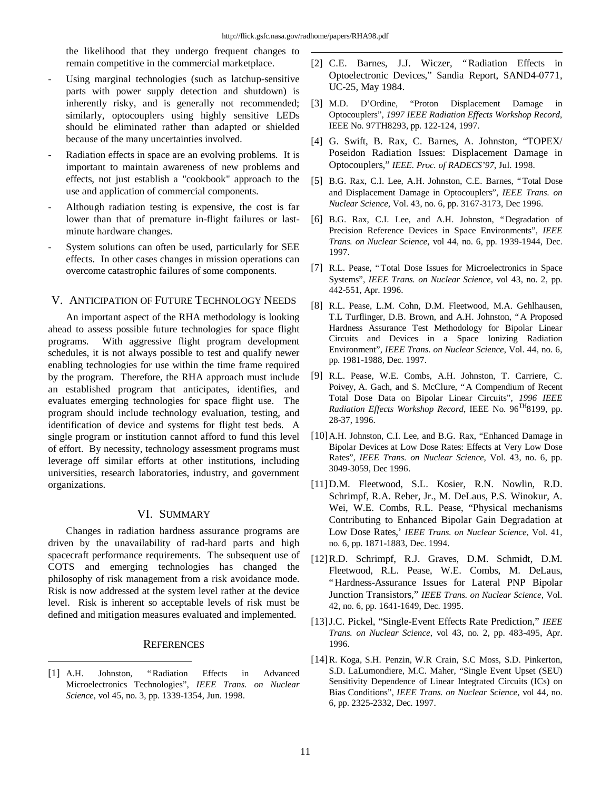$\overline{a}$ 

the likelihood that they undergo frequent changes to remain competitive in the commercial marketplace.

- Using marginal technologies (such as latchup-sensitive parts with power supply detection and shutdown) is inherently risky, and is generally not recommended; similarly, optocouplers using highly sensitive LEDs should be eliminated rather than adapted or shielded because of the many uncertainties involved.
- Radiation effects in space are an evolving problems. It is important to maintain awareness of new problems and effects, not just establish a "cookbook" approach to the use and application of commercial components.
- Although radiation testing is expensive, the cost is far lower than that of premature in-flight failures or lastminute hardware changes.
- System solutions can often be used, particularly for SEE effects. In other cases changes in mission operations can overcome catastrophic failures of some components.

#### V. ANTICIPATION OF FUTURE TECHNOLOGY NEEDS

An important aspect of the RHA methodology is looking ahead to assess possible future technologies for space flight programs. With aggressive flight program development schedules, it is not always possible to test and qualify newer enabling technologies for use within the time frame required by the program. Therefore, the RHA approach must include an established program that anticipates, identifies, and evaluates emerging technologies for space flight use. The program should include technology evaluation, testing, and identification of device and systems for flight test beds. A single program or institution cannot afford to fund this level of effort. By necessity, technology assessment programs must leverage off similar efforts at other institutions, including universities, research laboratories, industry, and government organizations.

#### VI. SUMMARY

Changes in radiation hardness assurance programs are driven by the unavailability of rad-hard parts and high spacecraft performance requirements. The subsequent use of COTS and emerging technologies has changed the philosophy of risk management from a risk avoidance mode. Risk is now addressed at the system level rather at the device level. Risk is inherent so acceptable levels of risk must be defined and mitigation measures evaluated and implemented.

#### **REFERENCES**

-

[1] A.H. Johnston, "Radiation Effects in Advanced Microelectronics Technologies", *IEEE Trans. on Nuclear Science*, vol 45, no. 3, pp. 1339-1354, Jun. 1998.

- [2] C.E. Barnes, J.J. Wiczer, "Radiation Effects in Optoelectronic Devices," Sandia Report, SAND4-0771, UC-25, May 1984.
- [3] M.D. D'Ordine, "Proton Displacement Damage in Optocouplers", *1997 IEEE Radiation Effects Workshop Record*, IEEE No. 97TH8293, pp. 122-124, 1997.
- [4] G. Swift, B. Rax, C. Barnes, A. Johnston, "TOPEX/ Poseidon Radiation Issues: Displacement Damage in Optocouplers," *IEEE. Proc. of RADECS'97*, Jul. 1998.
- [5] B.G. Rax, C.I. Lee, A.H. Johnston, C.E. Barnes, "Total Dose and Displacement Damage in Optocouplers", *IEEE Trans. on Nuclear Science,* Vol. 43, no. 6, pp. 3167-3173, Dec 1996.
- [6] B.G. Rax, C.I. Lee, and A.H. Johnston, "Degradation of Precision Reference Devices in Space Environments", *IEEE Trans. on Nuclear Science*, vol 44, no. 6, pp. 1939-1944, Dec. 1997.
- [7] R.L. Pease, "Total Dose Issues for Microelectronics in Space Systems", *IEEE Trans. on Nuclear Science*, vol 43, no. 2, pp. 442-551, Apr. 1996.
- [8] R.L. Pease, L.M. Cohn, D.M. Fleetwood, M.A. Gehlhausen, T.L Turflinger, D.B. Brown, and A.H. Johnston, "A Proposed Hardness Assurance Test Methodology for Bipolar Linear Circuits and Devices in a Space Ionizing Radiation Environment", *IEEE Trans. on Nuclear Science*, Vol. 44, no. 6, pp. 1981-1988, Dec. 1997.
- [9] R.L. Pease, W.E. Combs, A.H. Johnston, T. Carriere, C. Poivey, A. Gach, and S. McClure, "A Compendium of Recent Total Dose Data on Bipolar Linear Circuits", *1996 IEEE Radiation Effects Workshop Record*, IEEE No. 96<sup>TH</sup>8199, pp. 28-37, 1996.
- [10]A.H. Johnston, C.I. Lee, and B.G. Rax, "Enhanced Damage in Bipolar Devices at Low Dose Rates: Effects at Very Low Dose Rates", *IEEE Trans. on Nuclear Science,* Vol. 43, no. 6, pp. 3049-3059, Dec 1996.
- [11]D.M. Fleetwood, S.L. Kosier, R.N. Nowlin, R.D. Schrimpf, R.A. Reber, Jr., M. DeLaus, P.S. Winokur, A. Wei, W.E. Combs, R.L. Pease, "Physical mechanisms Contributing to Enhanced Bipolar Gain Degradation at Low Dose Rates,' *IEEE Trans. on Nuclear Science,* Vol. 41, no. 6, pp. 1871-1883, Dec. 1994.
- [12]R.D. Schrimpf, R.J. Graves, D.M. Schmidt, D.M. Fleetwood, R.L. Pease, W.E. Combs, M. DeLaus, "Hardness-Assurance Issues for Lateral PNP Bipolar Junction Transistors," *IEEE Trans. on Nuclear Science,* Vol. 42, no. 6, pp. 1641-1649, Dec. 1995.
- [13]J.C. Pickel, "Single-Event Effects Rate Prediction," *IEEE Trans. on Nuclear Science*, vol 43, no. 2, pp. 483-495, Apr. 1996.
- [14]R. Koga, S.H. Penzin, W.R Crain, S.C Moss, S.D. Pinkerton, S.D. LaLumondiere, M.C. Maher, "Single Event Upset (SEU) Sensitivity Dependence of Linear Integrated Circuits (ICs) on Bias Conditions", *IEEE Trans. on Nuclear Science*, vol 44, no. 6, pp. 2325-2332, Dec. 1997.